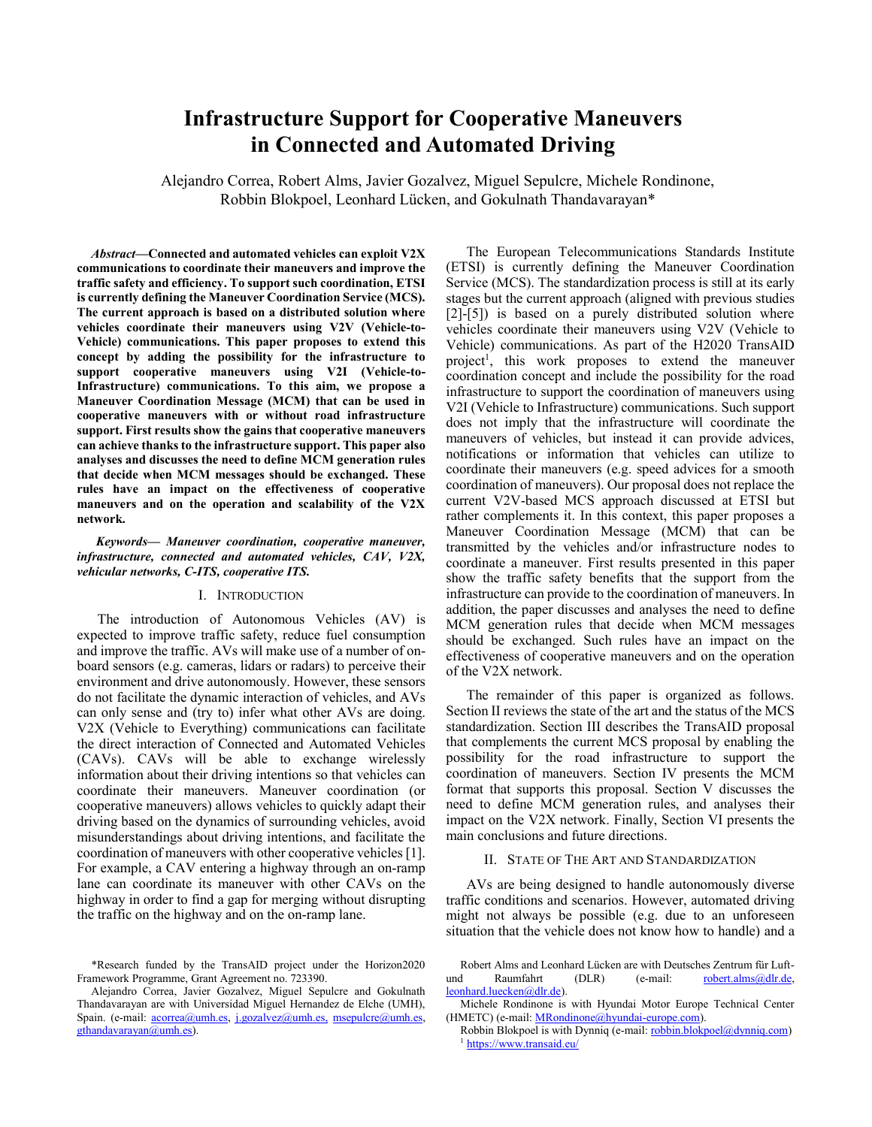# **Infrastructure Support for Cooperative Maneuvers** in Connected and Automated Driving

Alejandro Correa, Robert Alms, Javier Gozalvez, Miguel Sepulcre, Michele Rondinone, Robbin Blokpoel, Leonhard Lücken, and Gokulnath Thandavarayan\*

Abstract-Connected and automated vehicles can exploit V2X communications to coordinate their maneuvers and improve the traffic safety and efficiency. To support such coordination, ETSI is currently defining the Maneuver Coordination Service (MCS). The current approach is based on a distributed solution where vehicles coordinate their maneuvers using V2V (Vehicle-to-Vehicle) communications. This paper proposes to extend this concept by adding the possibility for the infrastructure to support cooperative maneuvers using V2I (Vehicle-to-Infrastructure) communications. To this aim, we propose a Maneuver Coordination Message (MCM) that can be used in cooperative maneuvers with or without road infrastructure support. First results show the gains that cooperative maneuvers can achieve thanks to the infrastructure support. This paper also analyses and discusses the need to define MCM generation rules that decide when MCM messages should be exchanged. These rules have an impact on the effectiveness of cooperative maneuvers and on the operation and scalability of the V2X network.

Keywords- Maneuver coordination, cooperative maneuver, infrastructure, connected and automated vehicles, CAV, V2X, vehicular networks, C-ITS, cooperative ITS.

## I. INTRODUCTION

The introduction of Autonomous Vehicles (AV) is expected to improve traffic safety, reduce fuel consumption and improve the traffic. AVs will make use of a number of onboard sensors (e.g. cameras, lidars or radars) to perceive their environment and drive autonomously. However, these sensors do not facilitate the dynamic interaction of vehicles, and AVs can only sense and (try to) infer what other AVs are doing. V2X (Vehicle to Everything) communications can facilitate the direct interaction of Connected and Automated Vehicles (CAVs). CAVs will be able to exchange wirelessly information about their driving intentions so that vehicles can coordinate their maneuvers. Maneuver coordination (or cooperative maneuvers) allows vehicles to quickly adapt their driving based on the dynamics of surrounding vehicles, avoid misunderstandings about driving intentions, and facilitate the coordination of maneuvers with other cooperative vehicles [1]. For example, a CAV entering a highway through an on-ramp lane can coordinate its maneuver with other CAVs on the highway in order to find a gap for merging without disrupting the traffic on the highway and on the on-ramp lane.

The European Telecommunications Standards Institute (ETSI) is currently defining the Maneuver Coordination Service (MCS). The standardization process is still at its early stages but the current approach (aligned with previous studies  $[2]-[5]$ ) is based on a purely distributed solution where vehicles coordinate their maneuvers using V2V (Vehicle to Vehicle) communications. As part of the H2020 TransAID project<sup>1</sup>, this work proposes to extend the maneuver coordination concept and include the possibility for the road infrastructure to support the coordination of maneuvers using V2I (Vehicle to Infrastructure) communications. Such support does not imply that the infrastructure will coordinate the maneuvers of vehicles, but instead it can provide advices, notifications or information that vehicles can utilize to coordinate their maneuvers (e.g. speed advices for a smooth coordination of maneuvers). Our proposal does not replace the current V2V-based MCS approach discussed at ETSI but rather complements it. In this context, this paper proposes a Maneuver Coordination Message (MCM) that can be transmitted by the vehicles and/or infrastructure nodes to coordinate a maneuver. First results presented in this paper show the traffic safety benefits that the support from the infrastructure can provide to the coordination of maneuvers. In addition, the paper discusses and analyses the need to define MCM generation rules that decide when MCM messages should be exchanged. Such rules have an impact on the effectiveness of cooperative maneuvers and on the operation of the V2X network.

The remainder of this paper is organized as follows. Section II reviews the state of the art and the status of the MCS standardization. Section III describes the TransAID proposal that complements the current MCS proposal by enabling the possibility for the road infrastructure to support the coordination of maneuvers. Section IV presents the MCM format that supports this proposal. Section V discusses the need to define MCM generation rules, and analyses their impact on the V2X network. Finally, Section VI presents the main conclusions and future directions.

# II. STATE OF THE ART AND STANDARDIZATION

AVs are being designed to handle autonomously diverse traffic conditions and scenarios. However, automated driving might not always be possible (e.g. due to an unforeseen situation that the vehicle does not know how to handle) and a

<sup>\*</sup>Research funded by the TransAID project under the Horizon2020 Framework Programme, Grant Agreement no. 723390.

Alejandro Correa, Javier Gozalvez, Miguel Sepulcre and Gokulnath Thandavarayan are with Universidad Miguel Hernandez de Elche (UMH), Spain. (e-mail: *acorrea@umh.es, j.gozalvez@umh.es, msepulcre@umh.es,*  $g$ thandavarayan $\omega$ umh.es).

Robert Alms and Leonhard Lücken are with Deutsches Zentrum für Luftund Raumfahrt  $(DLR)$ (e-mail: robert.alms@dlr.de, leonhard.luecken@dlr.de).

Michele Rondinone is with Hyundai Motor Europe Technical Center (HMETC) (e-mail: *MRondinone@hyundai-europe.com*).

Robbin Blokpoel is with Dynniq (e-mail: robbin.blokpoel@dynniq.com) https://www.transaid.eu/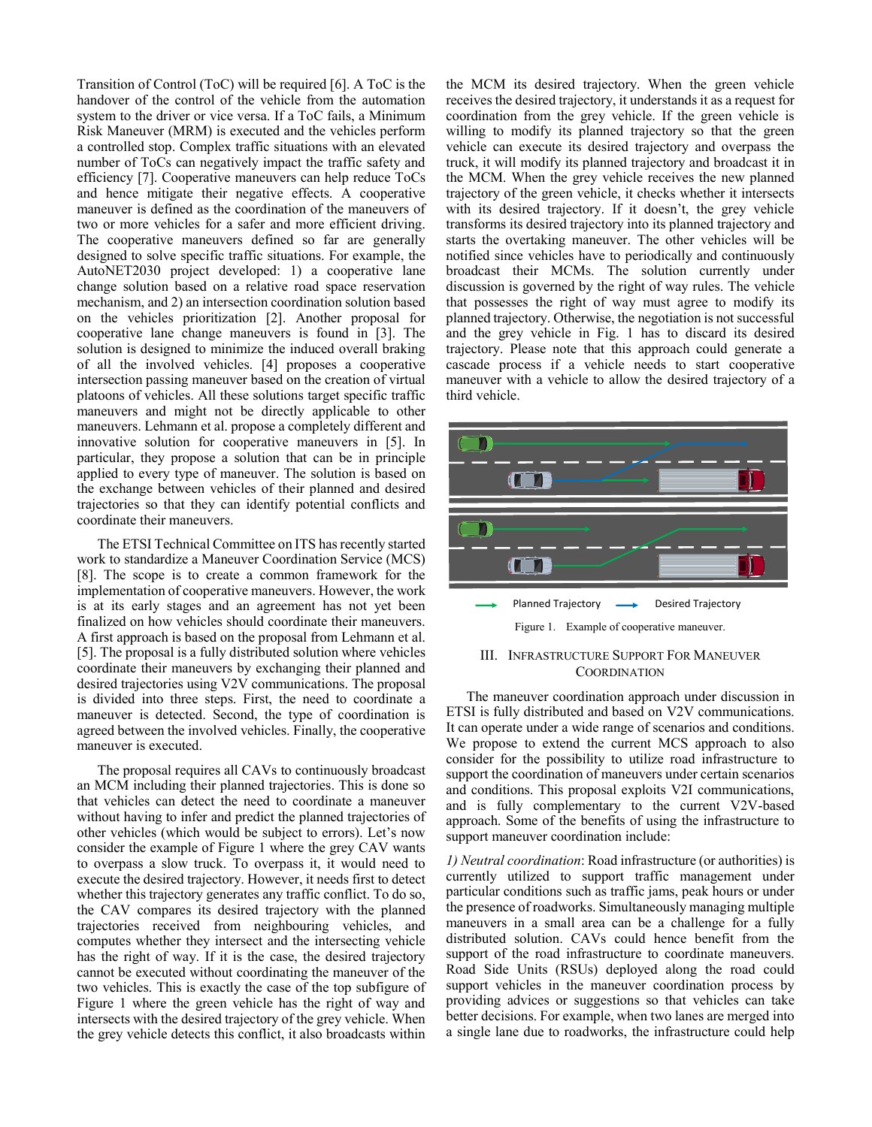Transition of Control (ToC) will be required [6]. A ToC is the handover of the control of the vehicle from the automation system to the driver or vice versa. If a ToC fails, a Minimum Risk Maneuver (MRM) is executed and the vehicles perform a controlled stop. Complex traffic situations with an elevated number of ToCs can negatively impact the traffic safety and efficiency [7]. Cooperative maneuvers can help reduce ToCs and hence mitigate their negative effects. A cooperative maneuver is defined as the coordination of the maneuvers of two or more vehicles for a safer and more efficient driving. The cooperative maneuvers defined so far are generally designed to solve specific traffic situations. For example, the AutoNET2030 project developed: 1) a cooperative lane change solution based on a relative road space reservation mechanism, and 2) an intersection coordination solution based on the vehicles prioritization [2]. Another proposal for cooperative lane change maneuvers is found in [3]. The solution is designed to minimize the induced overall braking of all the involved vehicles. [4] proposes a cooperative intersection passing maneuver based on the creation of virtual platoons of vehicles. All these solutions target specific traffic maneuvers and might not be directly applicable to other maneuvers. Lehmann et al. propose a completely different and innovative solution for cooperative maneuvers in [5]. In particular, they propose a solution that can be in principle applied to every type of maneuver. The solution is based on the exchange between vehicles of their planned and desired trajectories so that they can identify potential conflicts and coordinate their maneuvers.

The ETSI Technical Committee on ITS has recently started work to standardize a Maneuver Coordination Service (MCS) [8]. The scope is to create a common framework for the implementation of cooperative maneuvers. However, the work is at its early stages and an agreement has not yet been finalized on how vehicles should coordinate their maneuvers. A first approach is based on the proposal from Lehmann et al. [5]. The proposal is a fully distributed solution where vehicles coordinate their maneuvers by exchanging their planned and desired trajectories using V2V communications. The proposal is divided into three steps. First, the need to coordinate a maneuver is detected. Second, the type of coordination is agreed between the involved vehicles. Finally, the cooperative maneuver is executed.

The proposal requires all CAVs to continuously broadcast an MCM including their planned trajectories. This is done so that vehicles can detect the need to coordinate a maneuver without having to infer and predict the planned trajectories of other vehicles (which would be subject to errors). Let's now consider the example of Figure 1 where the grey CAV wants to overpass a slow truck. To overpass it, it would need to execute the desired trajectory. However, it needs first to detect whether this trajectory generates any traffic conflict. To do so, the CAV compares its desired trajectory with the planned trajectories received from neighbouring vehicles, and computes whether they intersect and the intersecting vehicle has the right of way. If it is the case, the desired trajectory cannot be executed without coordinating the maneuver of the two vehicles. This is exactly the case of the top subfigure of Figure 1 where the green vehicle has the right of way and intersects with the desired trajectory of the grey vehicle. When the grey vehicle detects this conflict, it also broadcasts within the MCM its desired trajectory. When the green vehicle receives the desired trajectory, it understands it as a request for coordination from the grey vehicle. If the green vehicle is willing to modify its planned trajectory so that the green vehicle can execute its desired trajectory and overpass the truck, it will modify its planned trajectory and broadcast it in the MCM. When the grey vehicle receives the new planned trajectory of the green vehicle, it checks whether it intersects with its desired trajectory. If it doesn't, the grey vehicle transforms its desired trajectory into its planned trajectory and starts the overtaking maneuver. The other vehicles will be notified since vehicles have to periodically and continuously broadcast their MCMs. The solution currently under discussion is governed by the right of way rules. The vehicle that possesses the right of way must agree to modify its planned trajectory. Otherwise, the negotiation is not successful and the grey vehicle in Fig. 1 has to discard its desired trajectory. Please note that this approach could generate a cascade process if a vehicle needs to start cooperative maneuver with a vehicle to allow the desired trajectory of a third vehicle.



# **III. INFRASTRUCTURE SUPPORT FOR MANEUVER COORDINATION**

The maneuver coordination approach under discussion in ETSI is fully distributed and based on V2V communications. It can operate under a wide range of scenarios and conditions. We propose to extend the current MCS approach to also consider for the possibility to utilize road infrastructure to support the coordination of maneuvers under certain scenarios and conditions. This proposal exploits V2I communications, and is fully complementary to the current V2V-based approach. Some of the benefits of using the infrastructure to support maneuver coordination include:

1) Neutral coordination: Road infrastructure (or authorities) is currently utilized to support traffic management under particular conditions such as traffic jams, peak hours or under the presence of roadworks. Simultaneously managing multiple maneuvers in a small area can be a challenge for a fully distributed solution. CAVs could hence benefit from the support of the road infrastructure to coordinate maneuvers. Road Side Units (RSUs) deployed along the road could support vehicles in the maneuver coordination process by providing advices or suggestions so that vehicles can take better decisions. For example, when two lanes are merged into a single lane due to roadworks, the infrastructure could help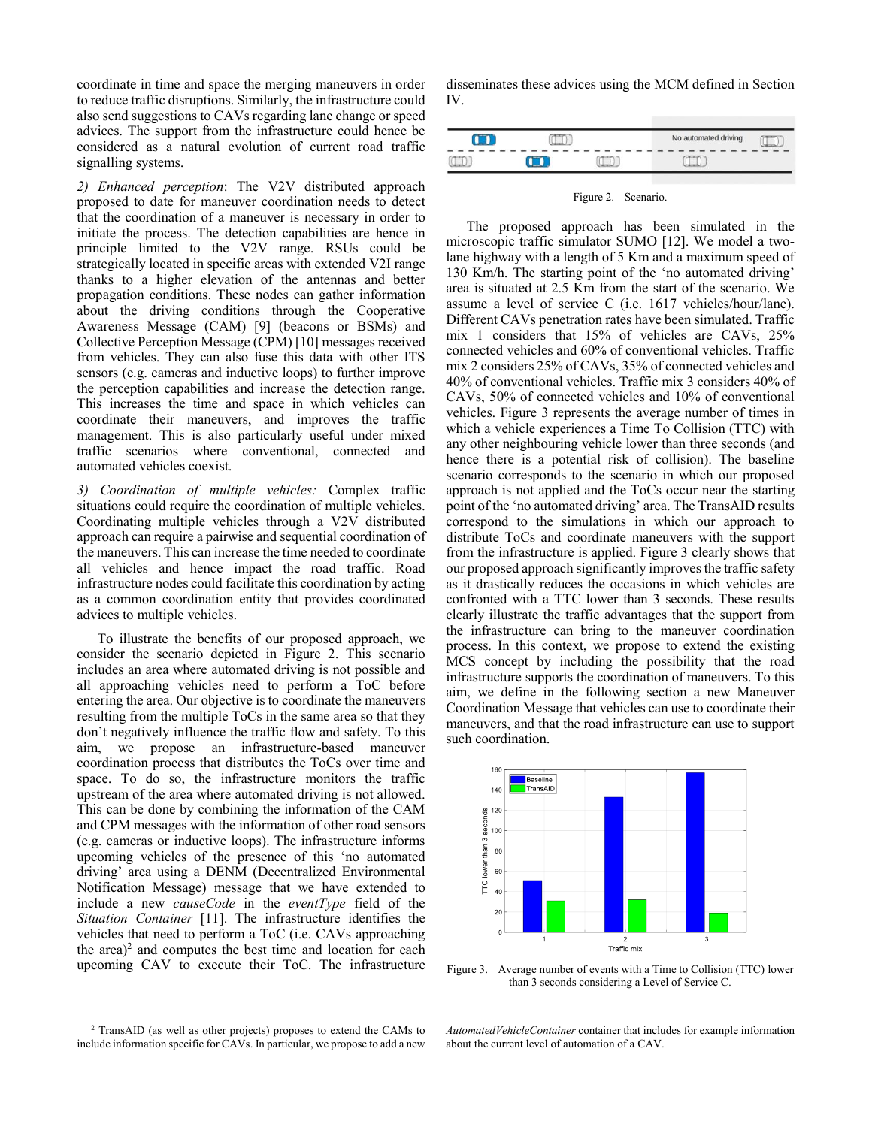coordinate in time and space the merging maneuvers in order to reduce traffic disruptions. Similarly, the infrastructure could also send suggestions to CAVs regarding lane change or speed advices. The support from the infrastructure could hence be considered as a natural evolution of current road traffic signalling systems.

2) Enhanced perception: The V2V distributed approach proposed to date for maneuver coordination needs to detect that the coordination of a maneuver is necessary in order to initiate the process. The detection capabilities are hence in principle limited to the V2V range. RSUs could be strategically located in specific areas with extended V2I range thanks to a higher elevation of the antennas and better propagation conditions. These nodes can gather information about the driving conditions through the Cooperative Awareness Message (CAM) [9] (beacons or BSMs) and Collective Perception Message (CPM) [10] messages received from vehicles. They can also fuse this data with other ITS sensors (e.g. cameras and inductive loops) to further improve the perception capabilities and increase the detection range. This increases the time and space in which vehicles can coordinate their maneuvers, and improves the traffic management. This is also particularly useful under mixed traffic scenarios where conventional, connected and automated vehicles coexist.

3) Coordination of multiple vehicles: Complex traffic situations could require the coordination of multiple vehicles. Coordinating multiple vehicles through a V2V distributed approach can require a pairwise and sequential coordination of the maneuvers. This can increase the time needed to coordinate all vehicles and hence impact the road traffic. Road infrastructure nodes could facilitate this coordination by acting as a common coordination entity that provides coordinated advices to multiple vehicles.

To illustrate the benefits of our proposed approach, we consider the scenario depicted in Figure 2. This scenario includes an area where automated driving is not possible and all approaching vehicles need to perform a ToC before entering the area. Our objective is to coordinate the maneuvers resulting from the multiple ToCs in the same area so that they don't negatively influence the traffic flow and safety. To this aim, we propose an infrastructure-based maneuver coordination process that distributes the ToCs over time and space. To do so, the infrastructure monitors the traffic upstream of the area where automated driving is not allowed. This can be done by combining the information of the CAM and CPM messages with the information of other road sensors (e.g. cameras or inductive loops). The infrastructure informs upcoming vehicles of the presence of this 'no automated driving' area using a DENM (Decentralized Environmental Notification Message) message that we have extended to include a new *causeCode* in the *eventType* field of the Situation Container [11]. The infrastructure identifies the vehicles that need to perform a ToC (i.e. CAVs approaching the area)<sup>2</sup> and computes the best time and location for each upcoming CAV to execute their ToC. The infrastructure

disseminates these advices using the MCM defined in Section IV.

|  | No automated driving |  |
|--|----------------------|--|
|  |                      |  |

Figure 2. Scenario.

The proposed approach has been simulated in the microscopic traffic simulator SUMO [12]. We model a twolane highway with a length of 5 Km and a maximum speed of 130 Km/h. The starting point of the 'no automated driving' area is situated at 2.5 Km from the start of the scenario. We assume a level of service C (i.e. 1617 vehicles/hour/lane). Different CAVs penetration rates have been simulated. Traffic mix 1 considers that 15% of vehicles are CAVs, 25% connected vehicles and 60% of conventional vehicles. Traffic mix 2 considers 25% of CAVs, 35% of connected vehicles and 40% of conventional vehicles. Traffic mix 3 considers 40% of CAVs, 50% of connected vehicles and 10% of conventional vehicles. Figure 3 represents the average number of times in which a vehicle experiences a Time To Collision (TTC) with any other neighbouring vehicle lower than three seconds (and hence there is a potential risk of collision). The baseline scenario corresponds to the scenario in which our proposed approach is not applied and the ToCs occur near the starting point of the 'no automated driving' area. The TransAID results correspond to the simulations in which our approach to distribute ToCs and coordinate maneuvers with the support from the infrastructure is applied. Figure 3 clearly shows that our proposed approach significantly improves the traffic safety as it drastically reduces the occasions in which vehicles are confronted with a TTC lower than 3 seconds. These results clearly illustrate the traffic advantages that the support from the infrastructure can bring to the maneuver coordination process. In this context, we propose to extend the existing MCS concept by including the possibility that the road infrastructure supports the coordination of maneuvers. To this aim, we define in the following section a new Maneuver Coordination Message that vehicles can use to coordinate their maneuvers, and that the road infrastructure can use to support such coordination.



Figure 3. Average number of events with a Time to Collision (TTC) lower than 3 seconds considering a Level of Service C.

AutomatedVehicleContainer container that includes for example information about the current level of automation of a CAV.

<sup>&</sup>lt;sup>2</sup> TransAID (as well as other projects) proposes to extend the CAMs to include information specific for CAVs. In particular, we propose to add a new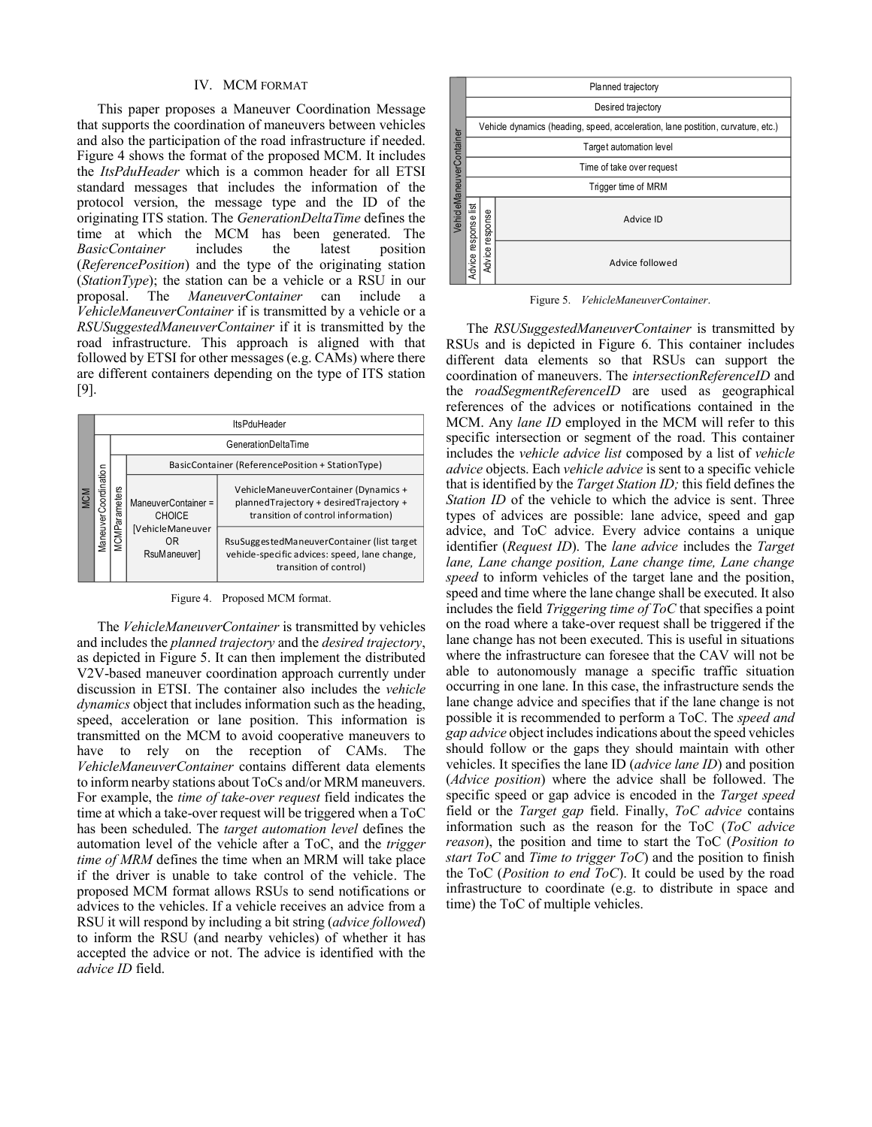#### IV. MCM FORMAT

This paper proposes a Maneuver Coordination Message that supports the coordination of maneuvers between vehicles and also the participation of the road infrastructure if needed. Figure 4 shows the format of the proposed MCM. It includes the ItsPduHeader which is a common header for all ETSI standard messages that includes the information of the protocol version, the message type and the ID of the originating ITS station. The GenerationDeltaTime defines the time at which the MCM has been generated. The *BasicContainer* includes the latest position (ReferencePosition) and the type of the originating station (StationType); the station can be a vehicle or a RSU in our proposal. The ManeuverContainer can include <sub>a</sub> VehicleManeuverContainer if is transmitted by a vehicle or a RSUSuggestedManeuverContainer if it is transmitted by the road infrastructure. This approach is aligned with that followed by ETSI for other messages (e.g. CAMs) where there are different containers depending on the type of ITS station  $[9]$ .

| <b>MCM</b> | <b>ItsPduHeader</b>  |                            |                                                                                |                                                                                                                       |  |  |
|------------|----------------------|----------------------------|--------------------------------------------------------------------------------|-----------------------------------------------------------------------------------------------------------------------|--|--|
|            | ManeuverCoordination | <b>GenerationDeltaTime</b> |                                                                                |                                                                                                                       |  |  |
|            |                      | <b>MCMParameters</b>       | BasicContainer (ReferencePosition + StationType)                               |                                                                                                                       |  |  |
|            |                      |                            | ManeuverContainer =<br><b>CHOICE</b><br>[VehicleManeuver<br>ΟR<br>RsuManeuver] | VehicleManeuverContainer (Dynamics +<br>plannedTrajectory + desiredTrajectory +<br>transition of control information) |  |  |
|            |                      |                            |                                                                                | RsuSuggestedManeuverContainer (list target<br>vehicle-specific advices: speed, lane change,<br>transition of control) |  |  |

Figure 4. Proposed MCM format.

The VehicleManeuverContainer is transmitted by vehicles and includes the *planned trajectory* and the *desired trajectory*, as depicted in Figure 5. It can then implement the distributed V2V-based maneuver coordination approach currently under discussion in ETSI. The container also includes the vehicle *dynamics* object that includes information such as the heading, speed, acceleration or lane position. This information is transmitted on the MCM to avoid cooperative maneuvers to have to rely on the reception of CAMs. The VehicleManeuverContainer contains different data elements to inform nearby stations about ToCs and/or MRM maneuvers. For example, the time of take-over request field indicates the time at which a take-over request will be triggered when a ToC has been scheduled. The target automation level defines the automation level of the vehicle after a ToC, and the *trigger* time of MRM defines the time when an MRM will take place if the driver is unable to take control of the vehicle. The proposed MCM format allows RSUs to send notifications or advices to the vehicles. If a vehicle receives an advice from a RSU it will respond by including a bit string (advice followed) to inform the RSU (and nearby vehicles) of whether it has accepted the advice or not. The advice is identified with the advice ID field.



Figure 5. VehicleManeuverContainer.

The RSUSuggestedManeuverContainer is transmitted by RSUs and is depicted in Figure 6. This container includes different data elements so that RSUs can support the coordination of maneuvers. The intersectionReferenceID and the roadSegmentReferenceID are used as geographical references of the advices or notifications contained in the MCM. Any lane ID employed in the MCM will refer to this specific intersection or segment of the road. This container includes the vehicle advice list composed by a list of vehicle *advice* objects. Each *vehicle advice* is sent to a specific vehicle that is identified by the *Target Station ID*; this field defines the Station ID of the vehicle to which the advice is sent. Three types of advices are possible: lane advice, speed and gap advice, and ToC advice. Every advice contains a unique identifier (Request ID). The lane advice includes the Target lane, Lane change position, Lane change time, Lane change speed to inform vehicles of the target lane and the position, speed and time where the lane change shall be executed. It also includes the field Triggering time of ToC that specifies a point on the road where a take-over request shall be triggered if the lane change has not been executed. This is useful in situations where the infrastructure can foresee that the CAV will not be able to autonomously manage a specific traffic situation occurring in one lane. In this case, the infrastructure sends the lane change advice and specifies that if the lane change is not possible it is recommended to perform a ToC. The *speed and gap advice* object includes indications about the speed vehicles should follow or the gaps they should maintain with other vehicles. It specifies the lane ID (*advice lane ID*) and position (*Advice position*) where the advice shall be followed. The specific speed or gap advice is encoded in the Target speed field or the *Target gap* field. Finally, *ToC advice* contains information such as the reason for the ToC (ToC advice reason), the position and time to start the ToC (Position to start ToC and Time to trigger  $ToC$  and the position to finish the ToC (Position to end ToC). It could be used by the road infrastructure to coordinate (e.g. to distribute in space and time) the ToC of multiple vehicles.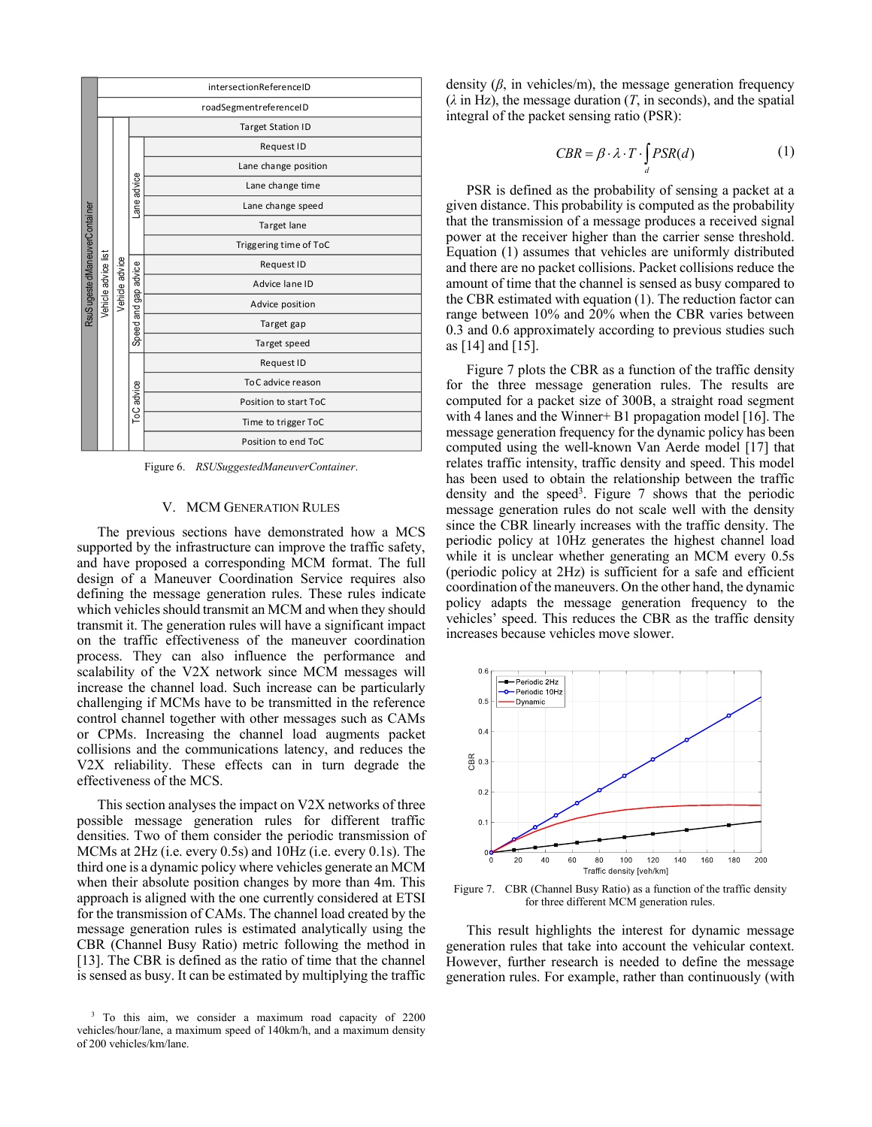|                               | intersectionReferenceID |                |                      |                          |  |  |
|-------------------------------|-------------------------|----------------|----------------------|--------------------------|--|--|
|                               | roadSegmentreferenceID  |                |                      |                          |  |  |
|                               |                         |                |                      | <b>Target Station ID</b> |  |  |
|                               |                         |                | Lane advice          | Request ID               |  |  |
|                               |                         |                |                      | Lane change position     |  |  |
|                               |                         |                |                      | Lane change time         |  |  |
|                               |                         |                |                      | Lane change speed        |  |  |
|                               |                         |                |                      | Target lane              |  |  |
| RsuSugeste dManeuverContainer |                         |                |                      | Triggering time of ToC   |  |  |
|                               |                         |                | Speed and gap advice | Request ID               |  |  |
|                               |                         | Vehicle advice |                      | Advice lane ID           |  |  |
|                               | Vehicle advice list     |                |                      | Advice position          |  |  |
|                               |                         |                |                      | Target gap               |  |  |
|                               |                         |                |                      | Target speed             |  |  |
|                               |                         |                | ToC advice           | Request ID               |  |  |
|                               |                         |                |                      | To C advice reason       |  |  |
|                               |                         |                |                      | Position to start ToC    |  |  |
|                               |                         |                |                      | Time to trigger ToC      |  |  |
|                               |                         |                |                      | Position to end ToC      |  |  |

Figure 6. RSUSuggestedManeuverContainer.

### V. MCM GENERATION RULES

The previous sections have demonstrated how a MCS supported by the infrastructure can improve the traffic safety, and have proposed a corresponding MCM format. The full design of a Maneuver Coordination Service requires also defining the message generation rules. These rules indicate which vehicles should transmit an MCM and when they should transmit it. The generation rules will have a significant impact on the traffic effectiveness of the maneuver coordination process. They can also influence the performance and scalability of the V2X network since MCM messages will increase the channel load. Such increase can be particularly challenging if MCMs have to be transmitted in the reference control channel together with other messages such as CAMs or CPMs. Increasing the channel load augments packet collisions and the communications latency, and reduces the V2X reliability. These effects can in turn degrade the effectiveness of the MCS.

This section analyses the impact on V2X networks of three possible message generation rules for different traffic densities. Two of them consider the periodic transmission of MCMs at  $2Hz$  (i.e. every 0.5s) and  $10Hz$  (i.e. every 0.1s). The third one is a dynamic policy where vehicles generate an MCM when their absolute position changes by more than 4m. This approach is aligned with the one currently considered at ETSI for the transmission of CAMs. The channel load created by the message generation rules is estimated analytically using the CBR (Channel Busy Ratio) metric following the method in [13]. The CBR is defined as the ratio of time that the channel is sensed as busy. It can be estimated by multiplying the traffic

density  $(\beta)$ , in vehicles/m), the message generation frequency  $(\lambda$  in Hz), the message duration (T, in seconds), and the spatial integral of the packet sensing ratio (PSR):

$$
CBR = \beta \cdot \lambda \cdot T \cdot \int_{d} PSR(d)
$$
 (1)

PSR is defined as the probability of sensing a packet at a given distance. This probability is computed as the probability that the transmission of a message produces a received signal power at the receiver higher than the carrier sense threshold. Equation (1) assumes that vehicles are uniformly distributed and there are no packet collisions. Packet collisions reduce the amount of time that the channel is sensed as busy compared to the CBR estimated with equation (1). The reduction factor can range between 10% and 20% when the CBR varies between 0.3 and 0.6 approximately according to previous studies such as  $[14]$  and  $[15]$ .

Figure 7 plots the CBR as a function of the traffic density for the three message generation rules. The results are computed for a packet size of 300B, a straight road segment with 4 lanes and the Winner+ B1 propagation model [16]. The message generation frequency for the dynamic policy has been computed using the well-known Van Aerde model [17] that relates traffic intensity, traffic density and speed. This model has been used to obtain the relationship between the traffic density and the speed<sup>3</sup>. Figure 7 shows that the periodic message generation rules do not scale well with the density since the CBR linearly increases with the traffic density. The periodic policy at 10Hz generates the highest channel load while it is unclear whether generating an MCM every 0.5s (periodic policy at 2Hz) is sufficient for a safe and efficient coordination of the maneuvers. On the other hand, the dynamic policy adapts the message generation frequency to the vehicles' speed. This reduces the CBR as the traffic density increases because vehicles move slower.



Figure 7. CBR (Channel Busy Ratio) as a function of the traffic density for three different MCM generation rules.

This result highlights the interest for dynamic message generation rules that take into account the vehicular context. However, further research is needed to define the message generation rules. For example, rather than continuously (with

<sup>&</sup>lt;sup>3</sup> To this aim, we consider a maximum road capacity of 2200 vehicles/hour/lane, a maximum speed of 140km/h, and a maximum density of 200 vehicles/km/lane.